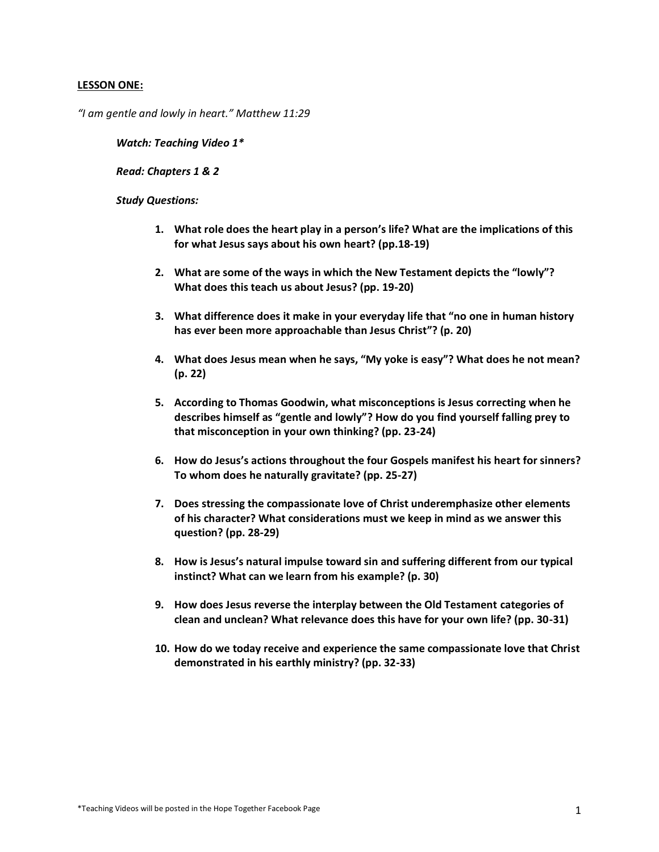# **LESSON ONE:**

*"I am gentle and lowly in heart." Matthew 11:29*

*Watch: Teaching Video 1\**

*Read: Chapters 1 & 2*

- **1. What role does the heart play in a person's life? What are the implications of this for what Jesus says about his own heart? (pp.18-19)**
- **2. What are some of the ways in which the New Testament depicts the "lowly"? What does this teach us about Jesus? (pp. 19-20)**
- **3. What difference does it make in your everyday life that "no one in human history has ever been more approachable than Jesus Christ"? (p. 20)**
- **4. What does Jesus mean when he says, "My yoke is easy"? What does he not mean? (p. 22)**
- **5. According to Thomas Goodwin, what misconceptions is Jesus correcting when he describes himself as "gentle and lowly"? How do you find yourself falling prey to that misconception in your own thinking? (pp. 23-24)**
- **6. How do Jesus's actions throughout the four Gospels manifest his heart for sinners? To whom does he naturally gravitate? (pp. 25-27)**
- **7. Does stressing the compassionate love of Christ underemphasize other elements of his character? What considerations must we keep in mind as we answer this question? (pp. 28-29)**
- **8. How is Jesus's natural impulse toward sin and suffering different from our typical instinct? What can we learn from his example? (p. 30)**
- **9. How does Jesus reverse the interplay between the Old Testament categories of clean and unclean? What relevance does this have for your own life? (pp. 30-31)**
- **10. How do we today receive and experience the same compassionate love that Christ demonstrated in his earthly ministry? (pp. 32-33)**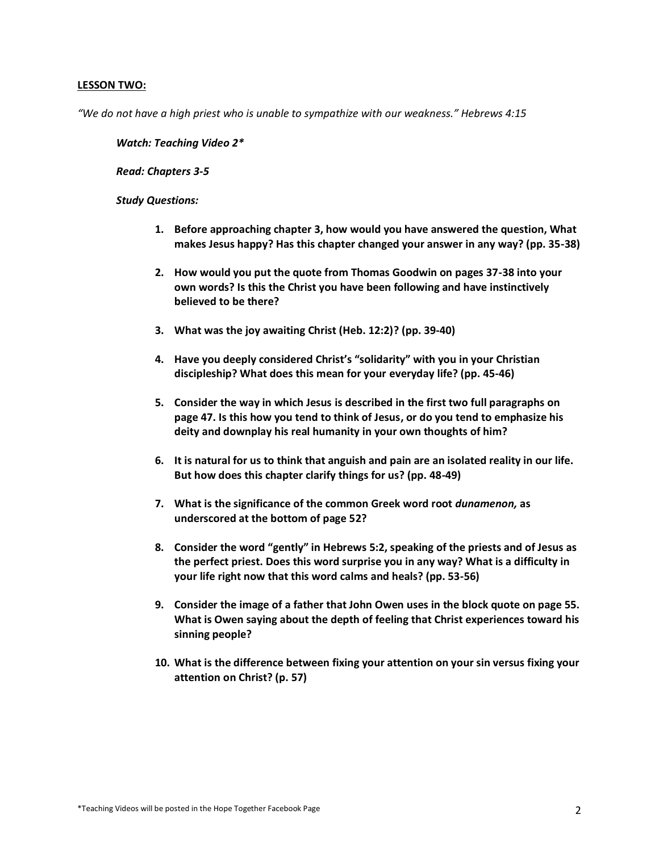# **LESSON TWO:**

*"We do not have a high priest who is unable to sympathize with our weakness." Hebrews 4:15*

*Watch: Teaching Video 2\**

*Read: Chapters 3-5*

- **1. Before approaching chapter 3, how would you have answered the question, What makes Jesus happy? Has this chapter changed your answer in any way? (pp. 35-38)**
- **2. How would you put the quote from Thomas Goodwin on pages 37-38 into your own words? Is this the Christ you have been following and have instinctively believed to be there?**
- **3. What was the joy awaiting Christ (Heb. 12:2)? (pp. 39-40)**
- **4. Have you deeply considered Christ's "solidarity" with you in your Christian discipleship? What does this mean for your everyday life? (pp. 45-46)**
- **5. Consider the way in which Jesus is described in the first two full paragraphs on page 47. Is this how you tend to think of Jesus, or do you tend to emphasize his deity and downplay his real humanity in your own thoughts of him?**
- **6. It is natural for us to think that anguish and pain are an isolated reality in our life. But how does this chapter clarify things for us? (pp. 48-49)**
- **7. What is the significance of the common Greek word root** *dunamenon,* **as underscored at the bottom of page 52?**
- **8. Consider the word "gently" in Hebrews 5:2, speaking of the priests and of Jesus as the perfect priest. Does this word surprise you in any way? What is a difficulty in your life right now that this word calms and heals? (pp. 53-56)**
- **9. Consider the image of a father that John Owen uses in the block quote on page 55. What is Owen saying about the depth of feeling that Christ experiences toward his sinning people?**
- **10. What is the difference between fixing your attention on your sin versus fixing your attention on Christ? (p. 57)**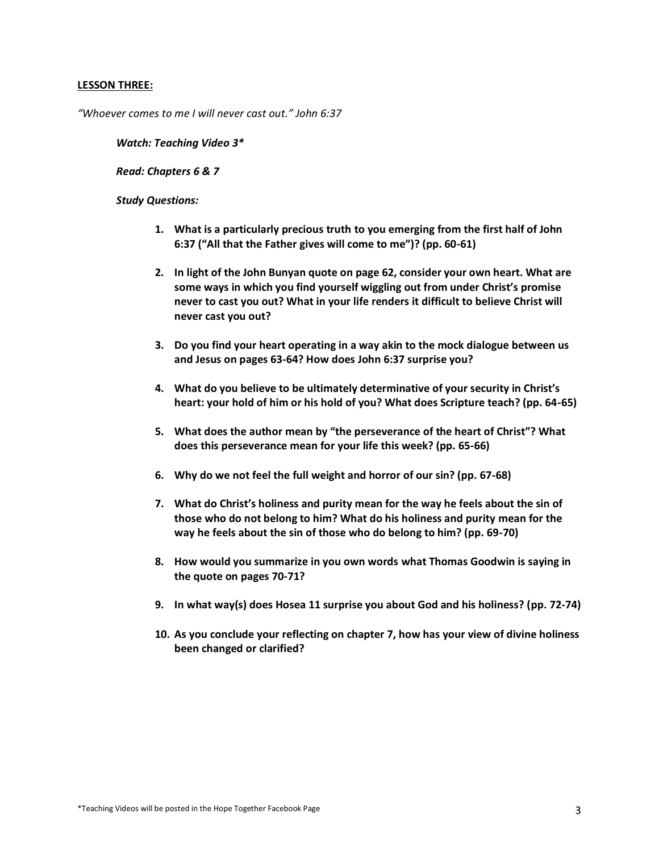## **LESSON THREE:**

*"Whoever comes to me I will never cast out." John 6:37*

*Watch: Teaching Video 3\**

*Read: Chapters 6 & 7*

- **1. What is a particularly precious truth to you emerging from the first half of John 6:37 ("All that the Father gives will come to me")? (pp. 60-61)**
- **2. In light of the John Bunyan quote on page 62, consider your own heart. What are some ways in which you find yourself wiggling out from under Christ's promise never to cast you out? What in your life renders it difficult to believe Christ will never cast you out?**
- **3. Do you find your heart operating in a way akin to the mock dialogue between us and Jesus on pages 63-64? How does John 6:37 surprise you?**
- **4. What do you believe to be ultimately determinative of your security in Christ's heart: your hold of him or his hold of you? What does Scripture teach? (pp. 64-65)**
- **5. What does the author mean by "the perseverance of the heart of Christ"? What does this perseverance mean for your life this week? (pp. 65-66)**
- **6. Why do we not feel the full weight and horror of our sin? (pp. 67-68)**
- **7. What do Christ's holiness and purity mean for the way he feels about the sin of those who do not belong to him? What do his holiness and purity mean for the way he feels about the sin of those who do belong to him? (pp. 69-70)**
- **8. How would you summarize in you own words what Thomas Goodwin is saying in the quote on pages 70-71?**
- **9. In what way(s) does Hosea 11 surprise you about God and his holiness? (pp. 72-74)**
- **10. As you conclude your reflecting on chapter 7, how has your view of divine holiness been changed or clarified?**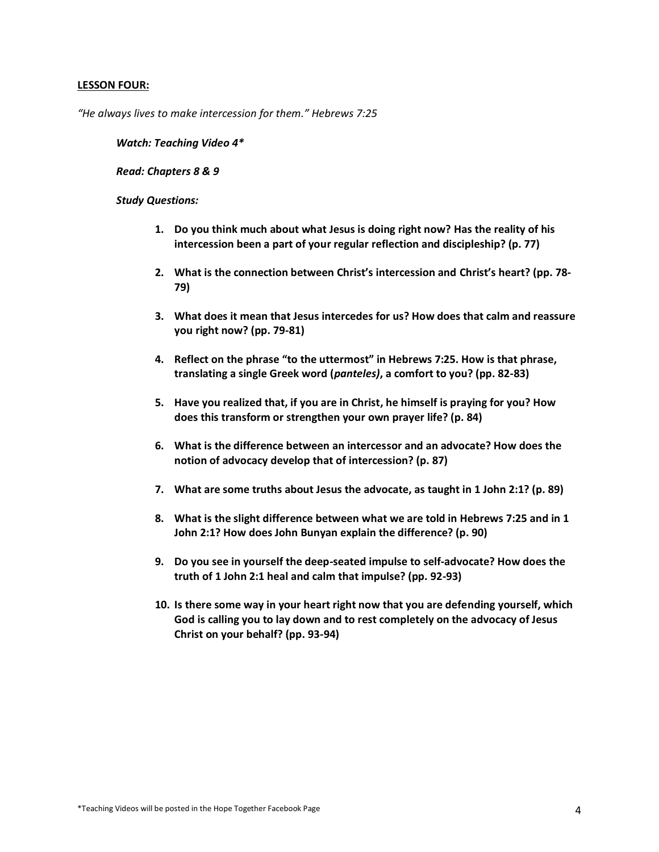# **LESSON FOUR:**

*"He always lives to make intercession for them." Hebrews 7:25*

*Watch: Teaching Video 4\**

*Read: Chapters 8 & 9*

- **1. Do you think much about what Jesus is doing right now? Has the reality of his intercession been a part of your regular reflection and discipleship? (p. 77)**
- **2. What is the connection between Christ's intercession and Christ's heart? (pp. 78- 79)**
- **3. What does it mean that Jesus intercedes for us? How does that calm and reassure you right now? (pp. 79-81)**
- **4. Reflect on the phrase "to the uttermost" in Hebrews 7:25. How is that phrase, translating a single Greek word (***panteles)***, a comfort to you? (pp. 82-83)**
- **5. Have you realized that, if you are in Christ, he himself is praying for you? How does this transform or strengthen your own prayer life? (p. 84)**
- **6. What is the difference between an intercessor and an advocate? How does the notion of advocacy develop that of intercession? (p. 87)**
- **7. What are some truths about Jesus the advocate, as taught in 1 John 2:1? (p. 89)**
- **8. What is the slight difference between what we are told in Hebrews 7:25 and in 1 John 2:1? How does John Bunyan explain the difference? (p. 90)**
- **9. Do you see in yourself the deep-seated impulse to self-advocate? How does the truth of 1 John 2:1 heal and calm that impulse? (pp. 92-93)**
- **10. Is there some way in your heart right now that you are defending yourself, which God is calling you to lay down and to rest completely on the advocacy of Jesus Christ on your behalf? (pp. 93-94)**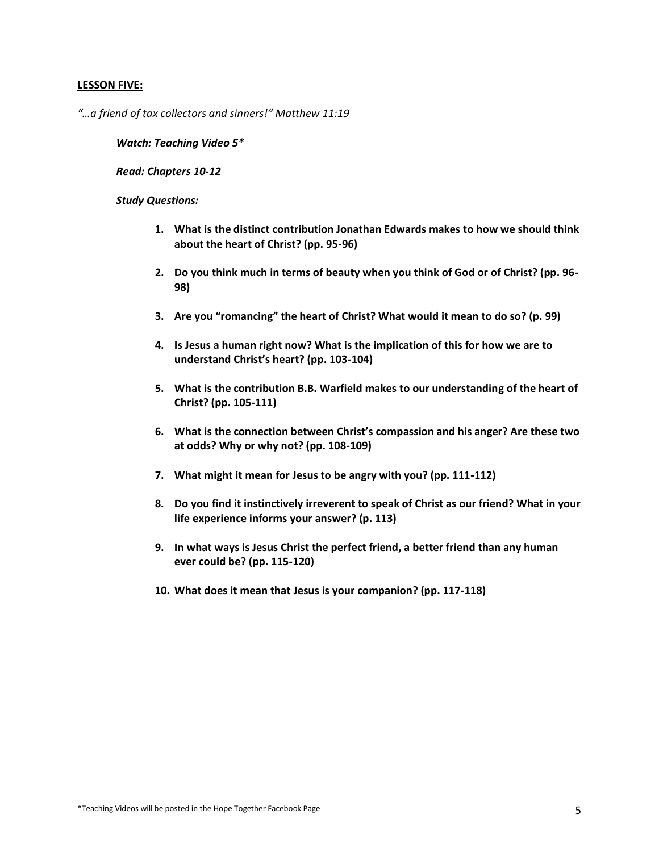# **LESSON FIVE:**

*"…a friend of tax collectors and sinners!" Matthew 11:19*

*Watch: Teaching Video 5\**

*Read: Chapters 10-12*

- **1. What is the distinct contribution Jonathan Edwards makes to how we should think about the heart of Christ? (pp. 95-96)**
- **2. Do you think much in terms of beauty when you think of God or of Christ? (pp. 96- 98)**
- **3. Are you "romancing" the heart of Christ? What would it mean to do so? (p. 99)**
- **4. Is Jesus a human right now? What is the implication of this for how we are to understand Christ's heart? (pp. 103-104)**
- **5. What is the contribution B.B. Warfield makes to our understanding of the heart of Christ? (pp. 105-111)**
- **6. What is the connection between Christ's compassion and his anger? Are these two at odds? Why or why not? (pp. 108-109)**
- **7. What might it mean for Jesus to be angry with you? (pp. 111-112)**
- **8. Do you find it instinctively irreverent to speak of Christ as our friend? What in your life experience informs your answer? (p. 113)**
- **9. In what ways is Jesus Christ the perfect friend, a better friend than any human ever could be? (pp. 115-120)**
- **10. What does it mean that Jesus is your companion? (pp. 117-118)**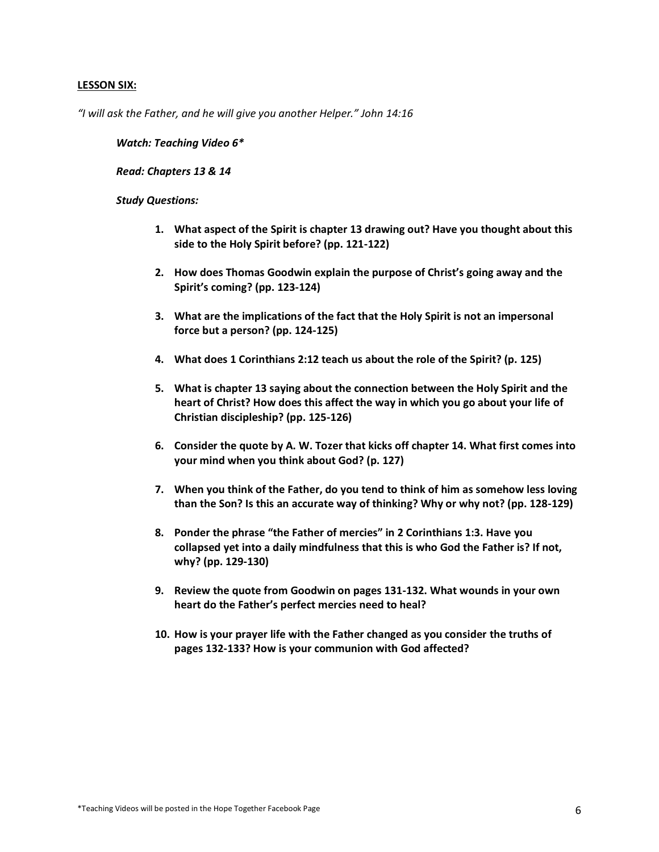#### **LESSON SIX:**

*"I will ask the Father, and he will give you another Helper." John 14:16*

*Watch: Teaching Video 6\**

*Read: Chapters 13 & 14*

- **1. What aspect of the Spirit is chapter 13 drawing out? Have you thought about this side to the Holy Spirit before? (pp. 121-122)**
- **2. How does Thomas Goodwin explain the purpose of Christ's going away and the Spirit's coming? (pp. 123-124)**
- **3. What are the implications of the fact that the Holy Spirit is not an impersonal force but a person? (pp. 124-125)**
- **4. What does 1 Corinthians 2:12 teach us about the role of the Spirit? (p. 125)**
- **5. What is chapter 13 saying about the connection between the Holy Spirit and the heart of Christ? How does this affect the way in which you go about your life of Christian discipleship? (pp. 125-126)**
- **6. Consider the quote by A. W. Tozer that kicks off chapter 14. What first comes into your mind when you think about God? (p. 127)**
- **7. When you think of the Father, do you tend to think of him as somehow less loving than the Son? Is this an accurate way of thinking? Why or why not? (pp. 128-129)**
- **8. Ponder the phrase "the Father of mercies" in 2 Corinthians 1:3. Have you collapsed yet into a daily mindfulness that this is who God the Father is? If not, why? (pp. 129-130)**
- **9. Review the quote from Goodwin on pages 131-132. What wounds in your own heart do the Father's perfect mercies need to heal?**
- **10. How is your prayer life with the Father changed as you consider the truths of pages 132-133? How is your communion with God affected?**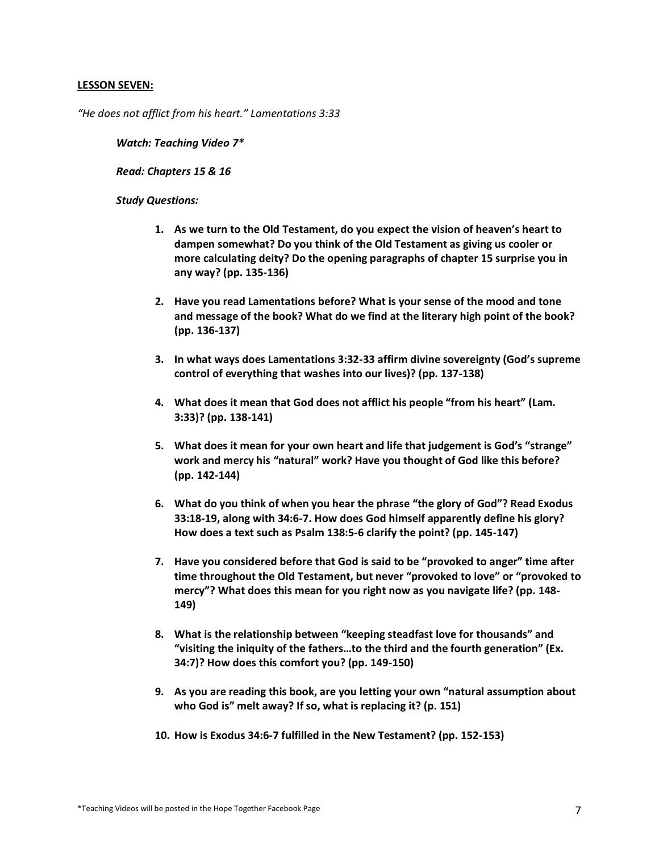## **LESSON SEVEN:**

*"He does not afflict from his heart." Lamentations 3:33*

*Watch: Teaching Video 7\**

*Read: Chapters 15 & 16*

- **1. As we turn to the Old Testament, do you expect the vision of heaven's heart to dampen somewhat? Do you think of the Old Testament as giving us cooler or more calculating deity? Do the opening paragraphs of chapter 15 surprise you in any way? (pp. 135-136)**
- **2. Have you read Lamentations before? What is your sense of the mood and tone and message of the book? What do we find at the literary high point of the book? (pp. 136-137)**
- **3. In what ways does Lamentations 3:32-33 affirm divine sovereignty (God's supreme control of everything that washes into our lives)? (pp. 137-138)**
- **4. What does it mean that God does not afflict his people "from his heart" (Lam. 3:33)? (pp. 138-141)**
- **5. What does it mean for your own heart and life that judgement is God's "strange" work and mercy his "natural" work? Have you thought of God like this before? (pp. 142-144)**
- **6. What do you think of when you hear the phrase "the glory of God"? Read Exodus 33:18-19, along with 34:6-7. How does God himself apparently define his glory? How does a text such as Psalm 138:5-6 clarify the point? (pp. 145-147)**
- **7. Have you considered before that God is said to be "provoked to anger" time after time throughout the Old Testament, but never "provoked to love" or "provoked to mercy"? What does this mean for you right now as you navigate life? (pp. 148- 149)**
- **8. What is the relationship between "keeping steadfast love for thousands" and "visiting the iniquity of the fathers…to the third and the fourth generation" (Ex. 34:7)? How does this comfort you? (pp. 149-150)**
- **9. As you are reading this book, are you letting your own "natural assumption about who God is" melt away? If so, what is replacing it? (p. 151)**
- **10. How is Exodus 34:6-7 fulfilled in the New Testament? (pp. 152-153)**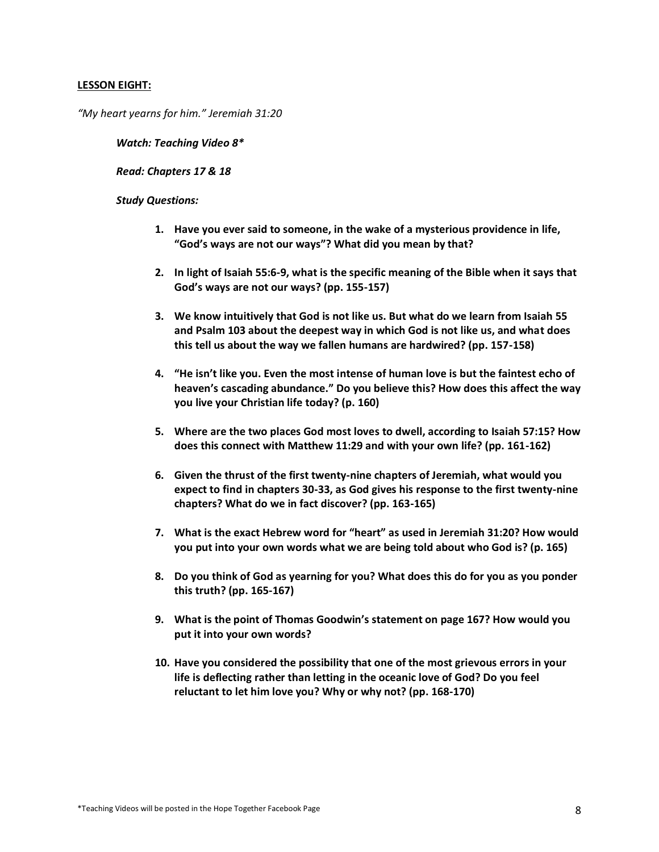# **LESSON EIGHT:**

*"My heart yearns for him." Jeremiah 31:20*

*Watch: Teaching Video 8\**

*Read: Chapters 17 & 18*

- **1. Have you ever said to someone, in the wake of a mysterious providence in life, "God's ways are not our ways"? What did you mean by that?**
- **2. In light of Isaiah 55:6-9, what is the specific meaning of the Bible when it says that God's ways are not our ways? (pp. 155-157)**
- **3. We know intuitively that God is not like us. But what do we learn from Isaiah 55 and Psalm 103 about the deepest way in which God is not like us, and what does this tell us about the way we fallen humans are hardwired? (pp. 157-158)**
- **4. "He isn't like you. Even the most intense of human love is but the faintest echo of heaven's cascading abundance." Do you believe this? How does this affect the way you live your Christian life today? (p. 160)**
- **5. Where are the two places God most loves to dwell, according to Isaiah 57:15? How does this connect with Matthew 11:29 and with your own life? (pp. 161-162)**
- **6. Given the thrust of the first twenty-nine chapters of Jeremiah, what would you expect to find in chapters 30-33, as God gives his response to the first twenty-nine chapters? What do we in fact discover? (pp. 163-165)**
- **7. What is the exact Hebrew word for "heart" as used in Jeremiah 31:20? How would you put into your own words what we are being told about who God is? (p. 165)**
- **8. Do you think of God as yearning for you? What does this do for you as you ponder this truth? (pp. 165-167)**
- **9. What is the point of Thomas Goodwin's statement on page 167? How would you put it into your own words?**
- **10. Have you considered the possibility that one of the most grievous errors in your life is deflecting rather than letting in the oceanic love of God? Do you feel reluctant to let him love you? Why or why not? (pp. 168-170)**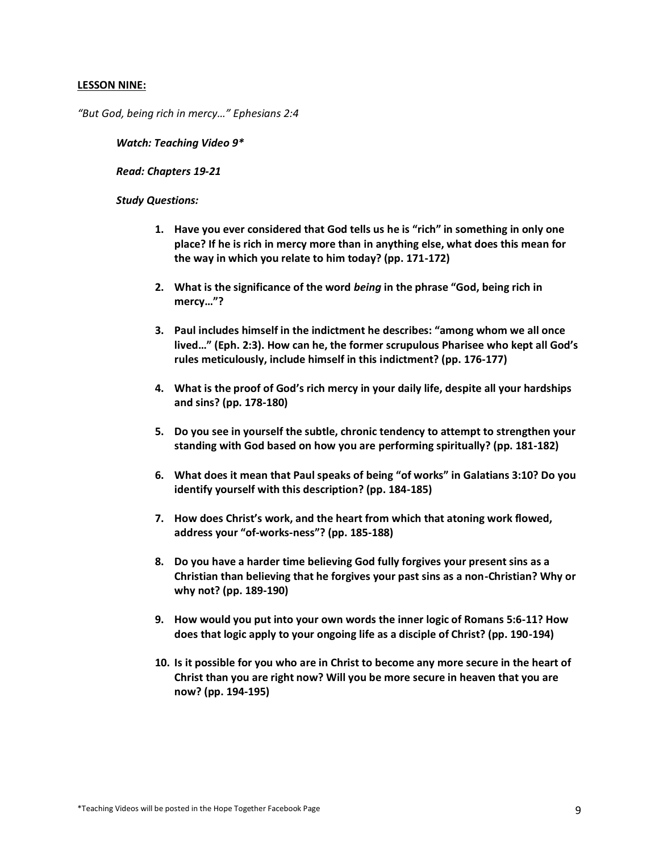#### **LESSON NINE:**

*"But God, being rich in mercy…" Ephesians 2:4*

*Watch: Teaching Video 9\**

*Read: Chapters 19-21*

- **1. Have you ever considered that God tells us he is "rich" in something in only one place? If he is rich in mercy more than in anything else, what does this mean for the way in which you relate to him today? (pp. 171-172)**
- **2. What is the significance of the word** *being* **in the phrase "God, being rich in mercy…"?**
- **3. Paul includes himself in the indictment he describes: "among whom we all once lived…" (Eph. 2:3). How can he, the former scrupulous Pharisee who kept all God's rules meticulously, include himself in this indictment? (pp. 176-177)**
- **4. What is the proof of God's rich mercy in your daily life, despite all your hardships and sins? (pp. 178-180)**
- **5. Do you see in yourself the subtle, chronic tendency to attempt to strengthen your standing with God based on how you are performing spiritually? (pp. 181-182)**
- **6. What does it mean that Paul speaks of being "of works" in Galatians 3:10? Do you identify yourself with this description? (pp. 184-185)**
- **7. How does Christ's work, and the heart from which that atoning work flowed, address your "of-works-ness"? (pp. 185-188)**
- **8. Do you have a harder time believing God fully forgives your present sins as a Christian than believing that he forgives your past sins as a non-Christian? Why or why not? (pp. 189-190)**
- **9. How would you put into your own words the inner logic of Romans 5:6-11? How does that logic apply to your ongoing life as a disciple of Christ? (pp. 190-194)**
- **10. Is it possible for you who are in Christ to become any more secure in the heart of Christ than you are right now? Will you be more secure in heaven that you are now? (pp. 194-195)**